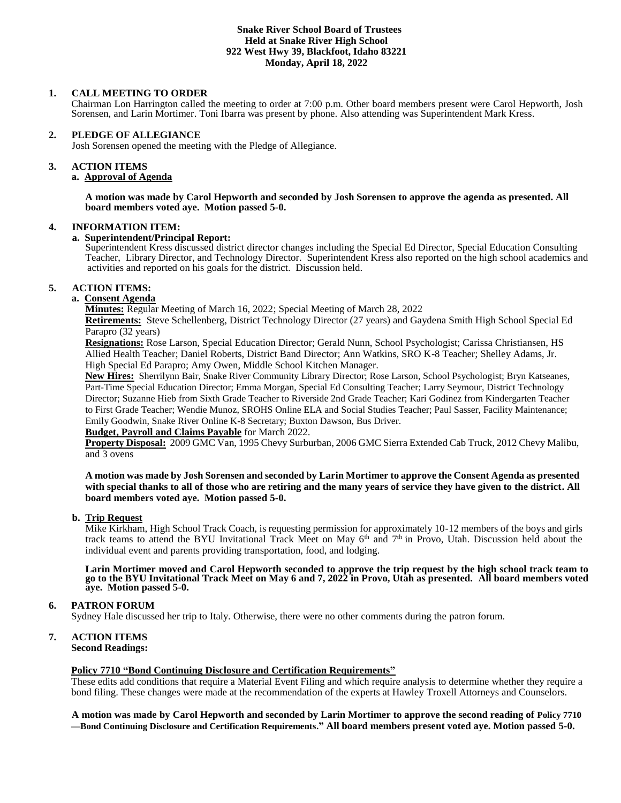#### **Snake River School Board of Trustees Held at Snake River High School 922 West Hwy 39, Blackfoot, Idaho 83221 Monday, April 18, 2022**

#### **1. CALL MEETING TO ORDER**

Chairman Lon Harrington called the meeting to order at 7:00 p.m. Other board members present were Carol Hepworth, Josh Sorensen, and Larin Mortimer. Toni Ibarra was present by phone. Also attending was Superintendent Mark Kress.

#### **2. PLEDGE OF ALLEGIANCE**

Josh Sorensen opened the meeting with the Pledge of Allegiance.

#### 3. **3. ACTION ITEMS**

# **a. Approval of Agenda**

**A motion was made by Carol Hepworth and seconded by Josh Sorensen to approve the agenda as presented. All board members voted aye. Motion passed 5-0.**

#### **4. INFORMATION ITEM:**

#### **a. Superintendent/Principal Report:**

Superintendent Kress discussed district director changes including the Special Ed Director, Special Education Consulting Teacher, Library Director, and Technology Director. Superintendent Kress also reported on the high school academics and activities and reported on his goals for the district. Discussion held.

### **5. ACTION ITEMS:**

# **a. Consent Agenda**

**Minutes:** Regular Meeting of March 16, 2022; Special Meeting of March 28, 2022

**Retirements:** Steve Schellenberg, District Technology Director (27 years) and Gaydena Smith High School Special Ed Parapro (32 years)

**Resignations:** Rose Larson, Special Education Director; Gerald Nunn, School Psychologist; Carissa Christiansen, HS Allied Health Teacher; Daniel Roberts, District Band Director; Ann Watkins, SRO K-8 Teacher; Shelley Adams, Jr. High Special Ed Parapro; Amy Owen, Middle School Kitchen Manager.

**New Hires:** Sherrilynn Bair, Snake River Community Library Director; Rose Larson, School Psychologist; Bryn Katseanes, Part-Time Special Education Director; Emma Morgan, Special Ed Consulting Teacher; Larry Seymour, District Technology Director; Suzanne Hieb from Sixth Grade Teacher to Riverside 2nd Grade Teacher; Kari Godinez from Kindergarten Teacher to First Grade Teacher; Wendie Munoz, SROHS Online ELA and Social Studies Teacher; Paul Sasser, Facility Maintenance; Emily Goodwin, Snake River Online K-8 Secretary; Buxton Dawson, Bus Driver.

#### **Budget, Payroll and Claims Payable** for March 2022.

**Property Disposal:** 2009 GMC Van, 1995 Chevy Surburban, 2006 GMC Sierra Extended Cab Truck, 2012 Chevy Malibu, and 3 ovens

**A motion was made by Josh Sorensen and seconded by Larin Mortimer to approve the Consent Agenda as presented with special thanks to all of those who are retiring and the many years of service they have given to the district. All board members voted aye. Motion passed 5-0.**

#### **b. Trip Request**

Mike Kirkham, High School Track Coach, is requesting permission for approximately 10-12 members of the boys and girls track teams to attend the BYU Invitational Track Meet on May 6<sup>th</sup> and 7<sup>th</sup> in Provo, Utah. Discussion held about the individual event and parents providing transportation, food, and lodging.

#### **Larin Mortimer moved and Carol Hepworth seconded to approve the trip request by the high school track team to go to the BYU Invitational Track Meet on May 6 and 7, 2022 in Provo, Utah as presented. All board members voted aye. Motion passed 5-0.**

#### **6. PATRON FORUM**

Sydney Hale discussed her trip to Italy. Otherwise, there were no other comments during the patron forum.

# **7. ACTION ITEMS**

**Second Readings:**

#### **Policy 7710 "Bond Continuing Disclosure and Certification Requirements"**

These edits add conditions that require a Material Event Filing and which require analysis to determine whether they require a bond filing. These changes were made at the recommendation of the experts at Hawley Troxell Attorneys and Counselors.

**A motion was made by Carol Hepworth and seconded by Larin Mortimer to approve the second reading of Policy 7710 —Bond Continuing Disclosure and Certification Requirements." All board members present voted aye. Motion passed 5-0.**